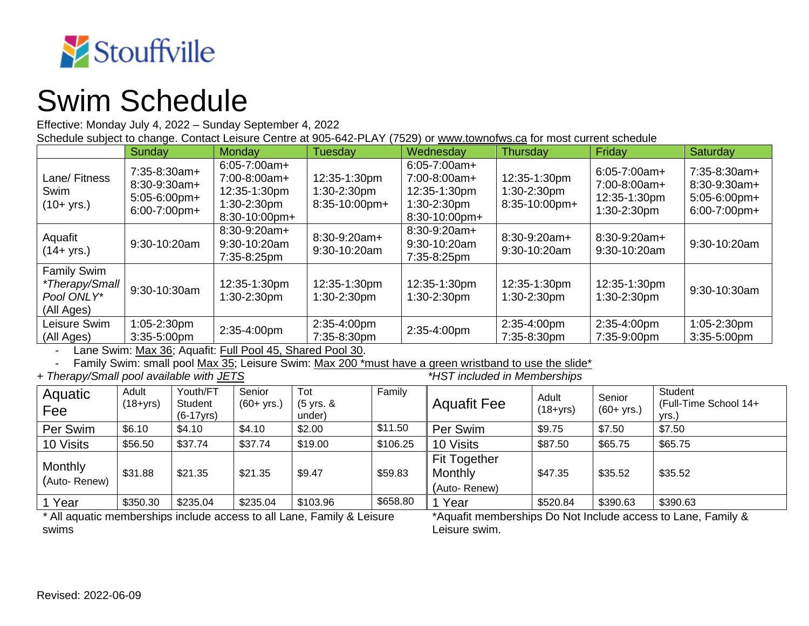

## Swim Schedule

Effective: Monday July 4, 2022 – Sunday September 4, 2022

Schedule subject to change. Contact Leisure Centre at 905-642-PLAY (7529) or [www.townofws.ca](http://www.townofws.ca/) for most current schedule

|                                                                    | Sunday                                                              | Monday                                                                            | Tuesday                                         | Wednesday                                                                           | Thursday                                        | Friday                                                           | Saturday                                                               |
|--------------------------------------------------------------------|---------------------------------------------------------------------|-----------------------------------------------------------------------------------|-------------------------------------------------|-------------------------------------------------------------------------------------|-------------------------------------------------|------------------------------------------------------------------|------------------------------------------------------------------------|
| Lane/ Fitness<br>Swim<br>$(10 + yrs.)$                             | $7:35-8:30am+$<br>$8:30-9:30am+$<br>5:05-6:00pm+<br>$6:00-7:00$ pm+ | $6:05 - 7:00am +$<br>7:00-8:00am+<br>12:35-1:30pm<br>1:30-2:30pm<br>8:30-10:00pm+ | 12:35-1:30pm<br>$1:30-2:30$ pm<br>8:35-10:00pm+ | $6:05 - 7:00am +$<br>$7:00-8:00am+$<br>12:35-1:30pm<br>1:30-2:30pm<br>8:30-10:00pm+ | 12:35-1:30pm<br>$1:30-2:30$ pm<br>8:35-10:00pm+ | $6:05 - 7:00am +$<br>7:00-8:00am+<br>12:35-1:30pm<br>1:30-2:30pm | $7:35-8:30am+$<br>$8:30-9:30am+$<br>$5:05-6:00$ pm+<br>$6:00-7:00$ pm+ |
| Aquafit<br>(14+ yrs.)                                              | 9:30-10:20am                                                        | 8:30-9:20am+<br>$9:30-10:20am$<br>7:35-8:25pm                                     | 8:30-9:20am+<br>9:30-10:20am                    | 8:30-9:20am+<br>9:30-10:20am<br>7:35-8:25pm                                         | $8:30-9:20am+$<br>9:30-10:20am                  | 8:30-9:20am+<br>9:30-10:20am                                     | 9:30-10:20am                                                           |
| <b>Family Swim</b><br>*Therapy/Small  <br>Pool ONLY*<br>(All Ages) | 9:30-10:30am                                                        | 12:35-1:30pm<br>1:30-2:30pm                                                       | 12:35-1:30pm<br>$1:30-2:30$ pm                  | 12:35-1:30pm<br>$1:30-2:30$ pm                                                      | 12:35-1:30pm<br>1:30-2:30pm                     | 12:35-1:30pm<br>1:30-2:30pm                                      | 9:30-10:30am                                                           |
| Leisure Swim<br>(All Ages)                                         | 1:05-2:30pm<br>$3:35-5:00$ pm                                       | 2:35-4:00pm                                                                       | 2:35-4:00pm<br>7:35-8:30pm                      | 2:35-4:00pm                                                                         | 2:35-4:00pm<br>7:35-8:30pm                      | 2:35-4:00pm<br>7:35-9:00pm                                       | 1:05-2:30pm<br>$3:35-5:00$ pm                                          |

Lane Swim: Max 36; Aquafit: Full Pool 45, Shared Pool 30.

Family Swim: small pool Max 35; Leisure Swim: Max 200 \*must have a green wristband to use the slide \*<br>apy/Small pool available with JETS **and the slight of the slight of the slight** \*HST included in Memberships

+ Therapy/Small pool available with JETS

| Aquatic<br>Feel                | Adult<br>$(18 + yrs)$ | Youth/FT<br>Student<br>$(6-17yrs)$ | Senior<br>$(60 + yrs.)$ | Tot<br>(5 yrs. &<br>under) | Family   | <b>Aquafit Fee</b>                             | Adult<br>$(18 + yrs)$ | Senior<br>$(60 + yrs.)$ | Student<br>(Full-Time School 14+<br>vrs.) |
|--------------------------------|-----------------------|------------------------------------|-------------------------|----------------------------|----------|------------------------------------------------|-----------------------|-------------------------|-------------------------------------------|
| Per Swim                       | \$6.10                | \$4.10                             | \$4.10                  | \$2.00                     | \$11.50  | Per Swim                                       | \$9.75                | \$7.50                  | \$7.50                                    |
| 10 Visits                      | \$56.50               | \$37.74                            | \$37.74                 | \$19.00                    | \$106.25 | 10 Visits                                      | \$87.50               | \$65.75                 | \$65.75                                   |
| <b>Monthly</b><br>(Auto-Renew) | \$31.88               | \$21.35                            | \$21.35                 | \$9.47                     | \$59.83  | <b>Fit Together</b><br>Monthly<br>(Auto-Renew) | \$47.35               | \$35.52                 | \$35.52                                   |
| l Year                         | \$350.30              | \$235.04                           | \$235.04                | \$103.96                   | \$658.80 | Year                                           | \$520.84              | \$390.63                | \$390.63                                  |

*\** All aquatic memberships include access to all Lane, Family & Leisure swims

\*Aquafit memberships Do Not Include access to Lane, Family & Leisure swim.